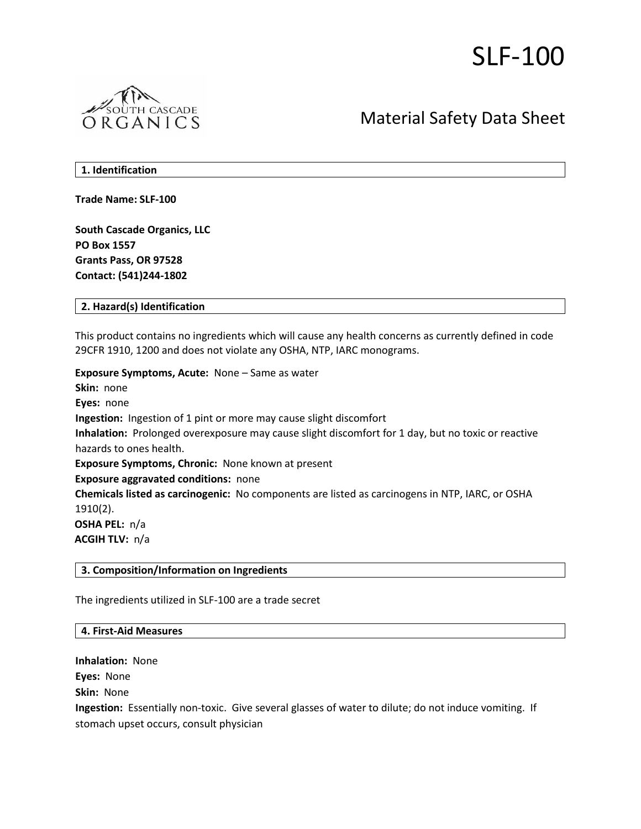# SLF-100



# Material Safety Data Sheet

**1. Identification** 

**Trade Name: SLF-100**

**South Cascade Organics, LLC PO Box 1557 Grants Pass, OR 97528 Contact: (541)244-1802**

**2. Hazard(s) Identification**

This product contains no ingredients which will cause any health concerns as currently defined in code 29CFR 1910, 1200 and does not violate any OSHA, NTP, IARC monograms.

**Exposure Symptoms, Acute:** None – Same as water **Skin:** none **Eyes:** none **Ingestion:** Ingestion of 1 pint or more may cause slight discomfort **Inhalation:** Prolonged overexposure may cause slight discomfort for 1 day, but no toxic or reactive hazards to ones health. **Exposure Symptoms, Chronic:** None known at present **Exposure aggravated conditions:** none **Chemicals listed as carcinogenic:** No components are listed as carcinogens in NTP, IARC, or OSHA 1910(2). **OSHA PEL:** n/a **ACGIH TLV:** n/a

# **3. Composition/Information on Ingredients**

The ingredients utilized in SLF-100 are a trade secret

#### **4. First-Aid Measures**

**Inhalation:** None

**Eyes:** None

**Skin:** None

**Ingestion:** Essentially non-toxic. Give several glasses of water to dilute; do not induce vomiting. If stomach upset occurs, consult physician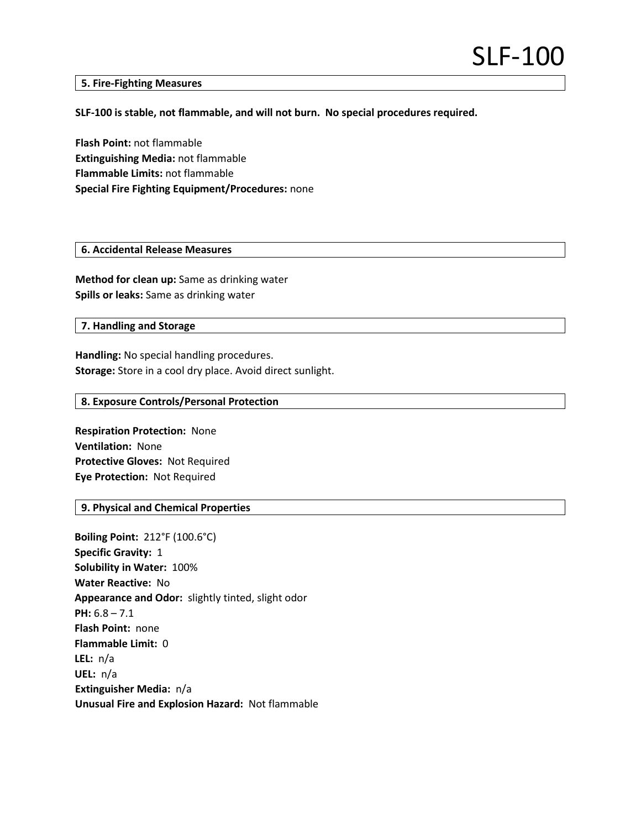#### **5. Fire-Fighting Measures**

## **SLF-100 is stable, not flammable, and will not burn. No special procedures required.**

**Flash Point:** not flammable **Extinguishing Media:** not flammable **Flammable Limits:** not flammable **Special Fire Fighting Equipment/Procedures:** none

## **6. Accidental Release Measures**

**Method for clean up:** Same as drinking water **Spills or leaks:** Same as drinking water

# **7. Handling and Storage**

**Handling:** No special handling procedures. **Storage:** Store in a cool dry place. Avoid direct sunlight.

### **8. Exposure Controls/Personal Protection**

**Respiration Protection:** None **Ventilation:** None **Protective Gloves:** Not Required **Eye Protection:** Not Required

# **9. Physical and Chemical Properties**

**Boiling Point:** 212°F (100.6°C) **Specific Gravity:** 1 **Solubility in Water:** 100% **Water Reactive:** No **Appearance and Odor:** slightly tinted, slight odor **PH:** 6.8 – 7.1 **Flash Point:** none **Flammable Limit:** 0 **LEL:** n/a **UEL:** n/a **Extinguisher Media:** n/a **Unusual Fire and Explosion Hazard:** Not flammable